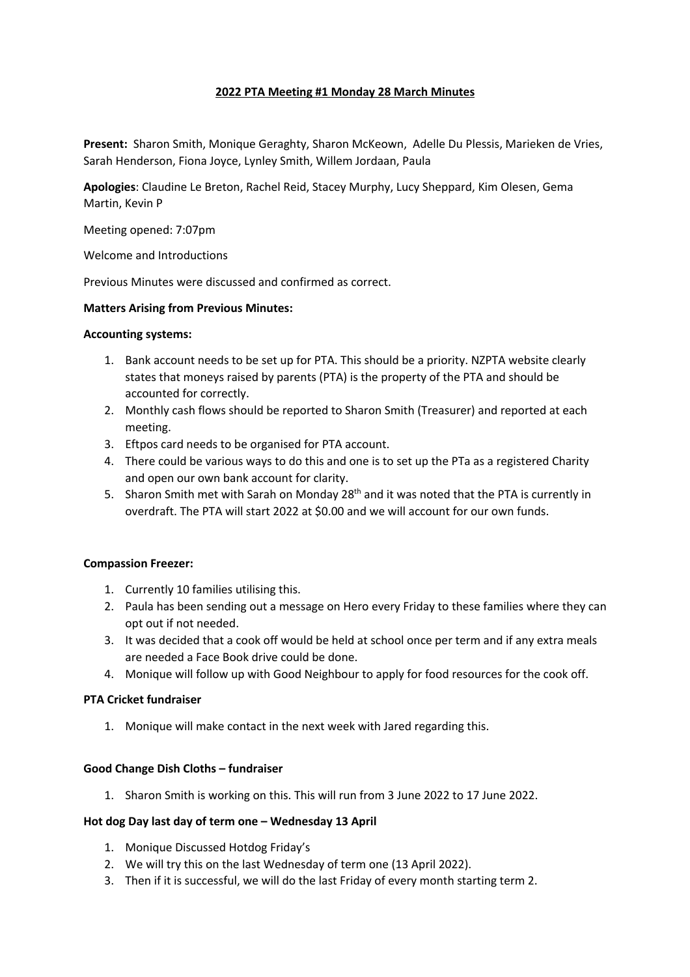### **2022 PTA Meeting #1 Monday 28 March Minutes**

**Present:** Sharon Smith, Monique Geraghty, Sharon McKeown, Adelle Du Plessis, Marieken de Vries, Sarah Henderson, Fiona Joyce, Lynley Smith, Willem Jordaan, Paula

**Apologies**: Claudine Le Breton, Rachel Reid, Stacey Murphy, Lucy Sheppard, Kim Olesen, Gema Martin, Kevin P

Meeting opened: 7:07pm

Welcome and Introductions

Previous Minutes were discussed and confirmed as correct.

#### **Matters Arising from Previous Minutes:**

#### **Accounting systems:**

- 1. Bank account needs to be set up for PTA. This should be a priority. NZPTA website clearly states that moneys raised by parents (PTA) is the property of the PTA and should be accounted for correctly.
- 2. Monthly cash flows should be reported to Sharon Smith (Treasurer) and reported at each meeting.
- 3. Eftpos card needs to be organised for PTA account.
- 4. There could be various ways to do this and one is to set up the PTa as a registered Charity and open our own bank account for clarity.
- 5. Sharon Smith met with Sarah on Monday 28<sup>th</sup> and it was noted that the PTA is currently in overdraft. The PTA will start 2022 at \$0.00 and we will account for our own funds.

#### **Compassion Freezer:**

- 1. Currently 10 families utilising this.
- 2. Paula has been sending out a message on Hero every Friday to these families where they can opt out if not needed.
- 3. It was decided that a cook off would be held at school once per term and if any extra meals are needed a Face Book drive could be done.
- 4. Monique will follow up with Good Neighbour to apply for food resources for the cook off.

#### **PTA Cricket fundraiser**

1. Monique will make contact in the next week with Jared regarding this.

### **Good Change Dish Cloths – fundraiser**

1. Sharon Smith is working on this. This will run from 3 June 2022 to 17 June 2022.

#### **Hot dog Day last day of term one – Wednesday 13 April**

- 1. Monique Discussed Hotdog Friday's
- 2. We will try this on the last Wednesday of term one (13 April 2022).
- 3. Then if it is successful, we will do the last Friday of every month starting term 2.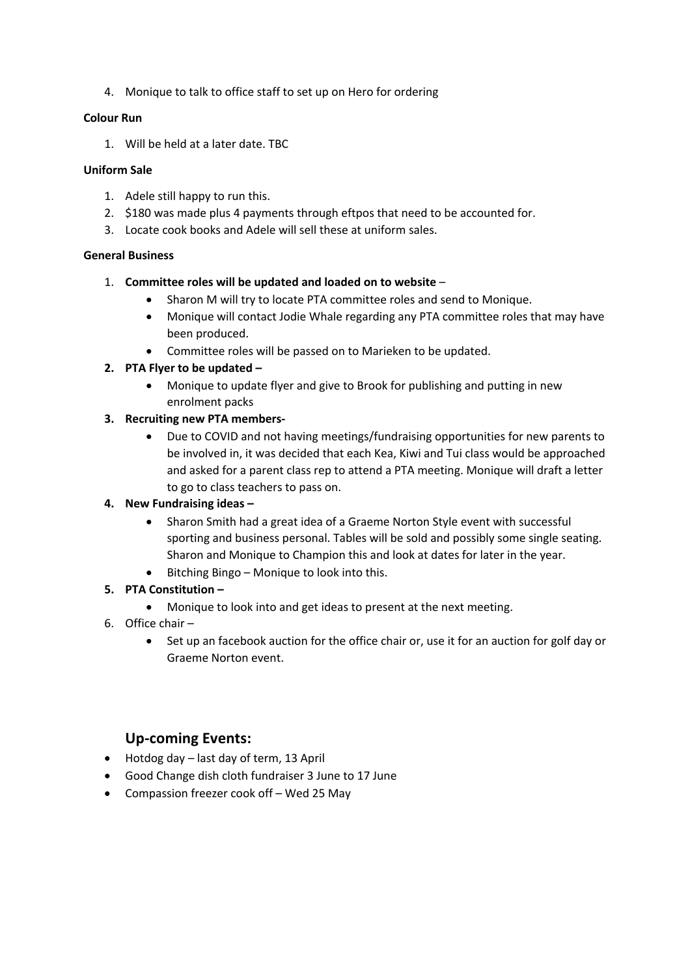4. Monique to talk to office staff to set up on Hero for ordering

### **Colour Run**

1. Will be held at a later date. TBC

### **Uniform Sale**

- 1. Adele still happy to run this.
- 2. \$180 was made plus 4 payments through eftpos that need to be accounted for.
- 3. Locate cook books and Adele will sell these at uniform sales.

# **General Business**

# 1. **Committee roles will be updated and loaded on to website** –

- Sharon M will try to locate PTA committee roles and send to Monique.
- Monique will contact Jodie Whale regarding any PTA committee roles that may have been produced.
- Committee roles will be passed on to Marieken to be updated.

# **2. PTA Flyer to be updated –**

• Monique to update flyer and give to Brook for publishing and putting in new enrolment packs

# **3. Recruiting new PTA members-**

• Due to COVID and not having meetings/fundraising opportunities for new parents to be involved in, it was decided that each Kea, Kiwi and Tui class would be approached and asked for a parent class rep to attend a PTA meeting. Monique will draft a letter to go to class teachers to pass on.

# **4. New Fundraising ideas –**

- Sharon Smith had a great idea of a Graeme Norton Style event with successful sporting and business personal. Tables will be sold and possibly some single seating. Sharon and Monique to Champion this and look at dates for later in the year.
- Bitching Bingo Monique to look into this.

# **5. PTA Constitution –**

- Monique to look into and get ideas to present at the next meeting.
- 6. Office chair
	- Set up an facebook auction for the office chair or, use it for an auction for golf day or Graeme Norton event.

# **Up-coming Events:**

- Hotdog day last day of term, 13 April
- Good Change dish cloth fundraiser 3 June to 17 June
- Compassion freezer cook off Wed 25 May